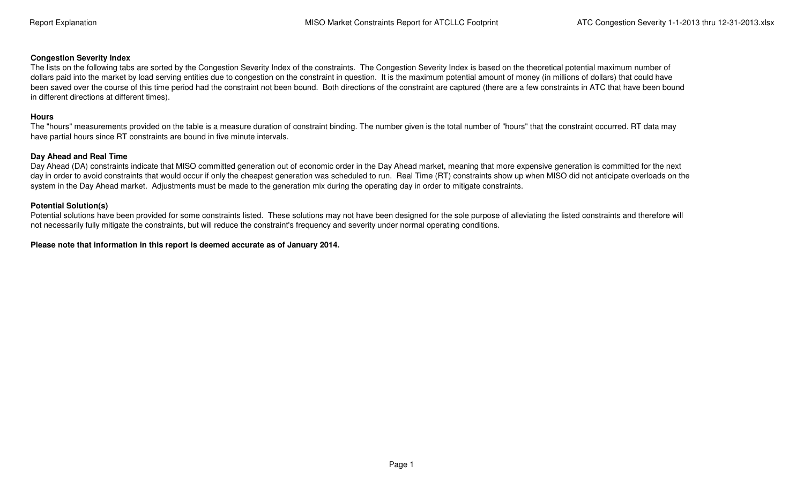## **Congestion Severity Index**

 The lists on the following tabs are sorted by the Congestion Severity Index of the constraints. The Congestion Severity Index is based on the theoretical potential maximum number of dollars paid into the market by load serving entities due to congestion on the constraint in question. It is the maximum potential amount of money (in millions of dollars) that could have been saved over the course of this time period had the constraint not been bound. Both directions of the constraint are captured (there are a few constraints in ATC that have been bound in different directions at different times).

## **Hours**

 The "hours" measurements provided on the table is a measure duration of constraint binding. The number given is the total number of "hours" that the constraint occurred. RT data may have partial hours since RT constraints are bound in five minute intervals.

## **Day Ahead and Real Time**

 Day Ahead (DA) constraints indicate that MISO committed generation out of economic order in the Day Ahead market, meaning that more expensive generation is committed for the next day in order to avoid constraints that would occur if only the cheapest generation was scheduled to run. Real Time (RT) constraints show up when MISO did not anticipate overloads on the system in the Day Ahead market. Adjustments must be made to the generation mix during the operating day in order to mitigate constraints.

## **Potential Solution(s)**

Potential solutions have been provided for some constraints listed. These solutions may not have been designed for the sole purpose of alleviating the listed constraints and therefore will not necessarily fully mitigate the constraints, but will reduce the constraint's frequency and severity under normal operating conditions.

**Please note that information in this report is deemed accurate as of January 2014.**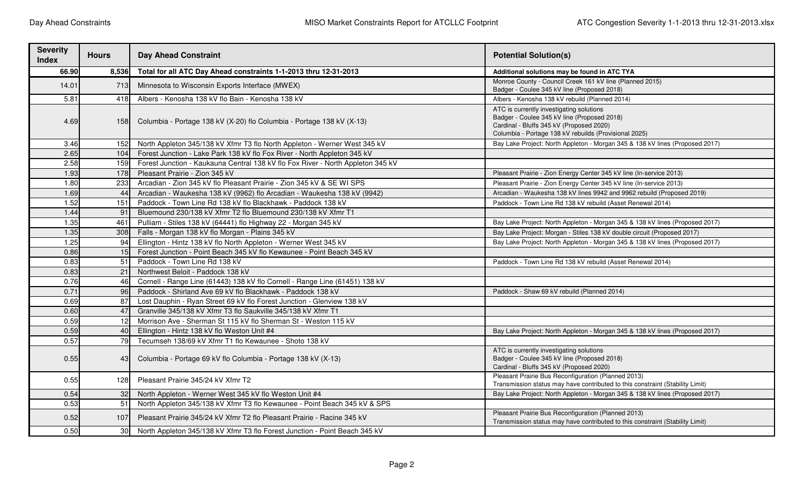| <b>Severity</b><br><b>Index</b> | <b>Hours</b>    | <b>Day Ahead Constraint</b>                                                                                                                      | <b>Potential Solution(s)</b>                                                                                                                                                                 |
|---------------------------------|-----------------|--------------------------------------------------------------------------------------------------------------------------------------------------|----------------------------------------------------------------------------------------------------------------------------------------------------------------------------------------------|
| 66.90                           | 8,536           | Total for all ATC Day Ahead constraints 1-1-2013 thru 12-31-2013                                                                                 | Additional solutions may be found in ATC TYA                                                                                                                                                 |
| 14.01                           | 713             | Minnesota to Wisconsin Exports Interface (MWEX)                                                                                                  | Monroe County - Council Creek 161 kV line (Planned 2015)<br>Badger - Coulee 345 kV line (Proposed 2018)                                                                                      |
| 5.81                            | 418             | Albers - Kenosha 138 kV flo Bain - Kenosha 138 kV                                                                                                | Albers - Kenosha 138 kV rebuild (Planned 2014)                                                                                                                                               |
| 4.69                            | 1581            | Columbia - Portage 138 kV (X-20) flo Columbia - Portage 138 kV (X-13)                                                                            | ATC is currently investigating solutions<br>Badger - Coulee 345 kV line (Proposed 2018)<br>Cardinal - Bluffs 345 kV (Proposed 2020)<br>Columbia - Portage 138 kV rebuilds (Provisional 2025) |
| 3.46                            | 152             | North Appleton 345/138 kV Xfmr T3 flo North Appleton - Werner West 345 kV                                                                        | Bay Lake Project: North Appleton - Morgan 345 & 138 kV lines (Proposed 2017)                                                                                                                 |
| 2.65                            | 104             | Forest Junction - Lake Park 138 kV flo Fox River - North Appleton 345 kV                                                                         |                                                                                                                                                                                              |
| 2.58                            | 159             | Forest Junction - Kaukauna Central 138 kV flo Fox River - North Appleton 345 kV                                                                  |                                                                                                                                                                                              |
| 1.93                            | 178             | Pleasant Prairie - Zion 345 kV                                                                                                                   | Pleasant Prairie - Zion Energy Center 345 kV line (In-service 2013)                                                                                                                          |
| 1.80                            | 233             | Arcadian - Zion 345 kV flo Pleasant Prairie - Zion 345 kV & SE WI SPS                                                                            | Pleasant Prairie - Zion Energy Center 345 kV line (In-service 2013)                                                                                                                          |
| 1.69                            | 44              | Arcadian - Waukesha 138 kV (9962) flo Arcadian - Waukesha 138 kV (9942)                                                                          | Arcadian - Waukesha 138 kV lines 9942 and 9962 rebuild (Proposed 2019)                                                                                                                       |
| 1.52                            | 151             | Paddock - Town Line Rd 138 kV flo Blackhawk - Paddock 138 kV                                                                                     | Paddock - Town Line Rd 138 kV rebuild (Asset Renewal 2014)                                                                                                                                   |
| 1.44                            | 91              | Bluemound 230/138 kV Xfmr T2 flo Bluemound 230/138 kV Xfmr T1                                                                                    |                                                                                                                                                                                              |
| 1.35                            | 461             | Pulliam - Stiles 138 kV (64441) flo Highway 22 - Morgan 345 kV                                                                                   | Bay Lake Project: North Appleton - Morgan 345 & 138 kV lines (Proposed 2017)                                                                                                                 |
| 1.35                            | 308             | Falls - Morgan 138 kV flo Morgan - Plains 345 kV                                                                                                 | Bay Lake Project: Morgan - Stiles 138 kV double circuit (Proposed 2017)                                                                                                                      |
| 1.25                            | 94              | Ellington - Hintz 138 kV flo North Appleton - Werner West 345 kV<br>Bay Lake Project: North Appleton - Morgan 345 & 138 kV lines (Proposed 2017) |                                                                                                                                                                                              |
| 0.86                            | 15              | Forest Junction - Point Beach 345 kV flo Kewaunee - Point Beach 345 kV                                                                           |                                                                                                                                                                                              |
| 0.83                            | 51              | Paddock - Town Line Rd 138 kV                                                                                                                    | Paddock - Town Line Rd 138 kV rebuild (Asset Renewal 2014)                                                                                                                                   |
| 0.83                            | 21              | Northwest Beloit - Paddock 138 kV                                                                                                                |                                                                                                                                                                                              |
| 0.76                            | 46              | Cornell - Range Line (61443) 138 kV flo Cornell - Range Line (61451) 138 kV                                                                      |                                                                                                                                                                                              |
| 0.71                            | 96              | Paddock - Shirland Ave 69 kV flo Blackhawk - Paddock 138 kV                                                                                      | Paddock - Shaw 69 kV rebuild (Planned 2014)                                                                                                                                                  |
| 0.69                            | 87              | Lost Dauphin - Ryan Street 69 kV flo Forest Junction - Glenview 138 kV                                                                           |                                                                                                                                                                                              |
| 0.60                            | 47              | Granville 345/138 kV Xfmr T3 flo Saukville 345/138 kV Xfmr T1                                                                                    |                                                                                                                                                                                              |
| 0.59                            | 12              | Morrison Ave - Sherman St 115 kV flo Sherman St - Weston 115 kV                                                                                  |                                                                                                                                                                                              |
| 0.59                            | 40              | Ellington - Hintz 138 kV flo Weston Unit #4                                                                                                      | Bay Lake Project: North Appleton - Morgan 345 & 138 kV lines (Proposed 2017)                                                                                                                 |
| 0.57                            | 79              | Tecumseh 138/69 kV Xfmr T1 flo Kewaunee - Shoto 138 kV                                                                                           |                                                                                                                                                                                              |
| 0.55                            | 43              | Columbia - Portage 69 kV flo Columbia - Portage 138 kV (X-13)                                                                                    | ATC is currently investigating solutions<br>Badger - Coulee 345 kV line (Proposed 2018)<br>Cardinal - Bluffs 345 kV (Proposed 2020)                                                          |
| 0.55                            | 128             | Pleasant Prairie 345/24 kV Xfmr T2                                                                                                               | Pleasant Prairie Bus Reconfiguration (Planned 2013)<br>Transmission status may have contributed to this constraint (Stability Limit)                                                         |
| 0.54                            | 32              | North Appleton - Werner West 345 kV flo Weston Unit #4                                                                                           | Bay Lake Project: North Appleton - Morgan 345 & 138 kV lines (Proposed 2017)                                                                                                                 |
| 0.53                            | 51              | North Appleton 345/138 kV Xfmr T3 flo Kewaunee - Point Beach 345 kV & SPS                                                                        |                                                                                                                                                                                              |
| 0.52                            | 107             | Pleasant Prairie 345/24 kV Xfmr T2 flo Pleasant Prairie - Racine 345 kV                                                                          | Pleasant Prairie Bus Reconfiguration (Planned 2013)<br>Transmission status may have contributed to this constraint (Stability Limit)                                                         |
| 0.50                            | 30 <sup>1</sup> | North Appleton 345/138 kV Xfmr T3 flo Forest Junction - Point Beach 345 kV                                                                       |                                                                                                                                                                                              |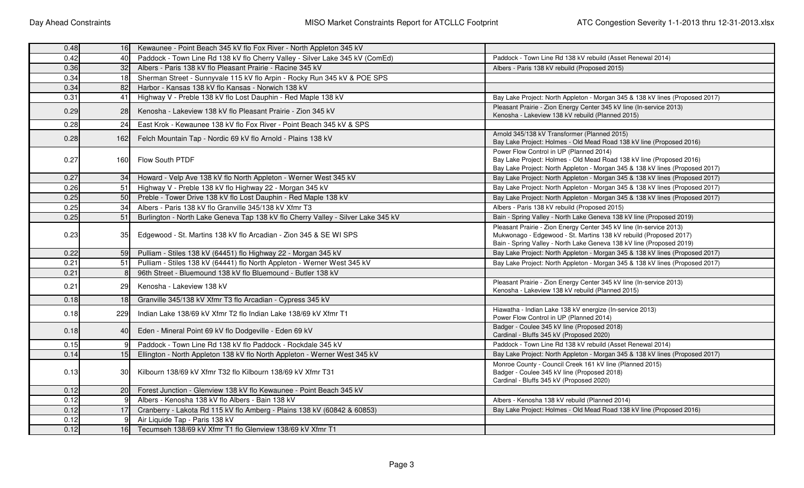| 0.48 | 16 <sup>1</sup>  | Kewaunee - Point Beach 345 kV flo Fox River - North Appleton 345 kV                                                                                                                                                |                                                                                                                                                                                                                  |  |
|------|------------------|--------------------------------------------------------------------------------------------------------------------------------------------------------------------------------------------------------------------|------------------------------------------------------------------------------------------------------------------------------------------------------------------------------------------------------------------|--|
| 0.42 | 40               | Paddock - Town Line Rd 138 kV flo Cherry Valley - Silver Lake 345 kV (ComEd)<br>Paddock - Town Line Rd 138 kV rebuild (Asset Renewal 2014)                                                                         |                                                                                                                                                                                                                  |  |
| 0.36 | 32               | Albers - Paris 138 kV flo Pleasant Prairie - Racine 345 kV                                                                                                                                                         | Albers - Paris 138 kV rebuild (Proposed 2015)                                                                                                                                                                    |  |
| 0.34 | 18               | Sherman Street - Sunnyvale 115 kV flo Arpin - Rocky Run 345 kV & POE SPS                                                                                                                                           |                                                                                                                                                                                                                  |  |
| 0.34 | 82               | Harbor - Kansas 138 kV flo Kansas - Norwich 138 kV                                                                                                                                                                 |                                                                                                                                                                                                                  |  |
| 0.31 | 41               | Highway V - Preble 138 kV flo Lost Dauphin - Red Maple 138 kV                                                                                                                                                      | Bay Lake Project: North Appleton - Morgan 345 & 138 kV lines (Proposed 2017)                                                                                                                                     |  |
| 0.29 | 28               | Kenosha - Lakeview 138 kV flo Pleasant Prairie - Zion 345 kV                                                                                                                                                       | Pleasant Prairie - Zion Energy Center 345 kV line (In-service 2013)<br>Kenosha - Lakeview 138 kV rebuild (Planned 2015)                                                                                          |  |
| 0.28 | 24               | East Krok - Kewaunee 138 kV flo Fox River - Point Beach 345 kV & SPS                                                                                                                                               |                                                                                                                                                                                                                  |  |
| 0.28 | 162 <sup>1</sup> | Felch Mountain Tap - Nordic 69 kV flo Arnold - Plains 138 kV                                                                                                                                                       | Arnold 345/138 kV Transformer (Planned 2015)<br>Bay Lake Project: Holmes - Old Mead Road 138 kV line (Proposed 2016)                                                                                             |  |
| 0.27 | 160              | Flow South PTDF                                                                                                                                                                                                    | Power Flow Control in UP (Planned 2014)<br>Bay Lake Project: Holmes - Old Mead Road 138 kV line (Proposed 2016)<br>Bay Lake Project: North Appleton - Morgan 345 & 138 kV lines (Proposed 2017)                  |  |
| 0.27 | 34               | Howard - Velp Ave 138 kV flo North Appleton - Werner West 345 kV                                                                                                                                                   | Bay Lake Project: North Appleton - Morgan 345 & 138 kV lines (Proposed 2017)                                                                                                                                     |  |
| 0.26 | 51               | Highway V - Preble 138 kV flo Highway 22 - Morgan 345 kV                                                                                                                                                           | Bay Lake Project: North Appleton - Morgan 345 & 138 kV lines (Proposed 2017)                                                                                                                                     |  |
| 0.25 | 50               | Preble - Tower Drive 138 kV flo Lost Dauphin - Red Maple 138 kV                                                                                                                                                    | Bay Lake Project: North Appleton - Morgan 345 & 138 kV lines (Proposed 2017)                                                                                                                                     |  |
| 0.25 | 34               | Albers - Paris 138 kV flo Granville 345/138 kV Xfmr T3                                                                                                                                                             | Albers - Paris 138 kV rebuild (Proposed 2015)                                                                                                                                                                    |  |
| 0.25 | 51               | Burlington - North Lake Geneva Tap 138 kV flo Cherry Valley - Silver Lake 345 kV                                                                                                                                   | Bain - Spring Valley - North Lake Geneva 138 kV line (Proposed 2019)                                                                                                                                             |  |
| 0.23 | 35               | Edgewood - St. Martins 138 kV flo Arcadian - Zion 345 & SE WI SPS                                                                                                                                                  | Pleasant Prairie - Zion Energy Center 345 kV line (In-service 2013)<br>Mukwonago - Edgewood - St. Martins 138 kV rebuild (Proposed 2017)<br>Bain - Spring Valley - North Lake Geneva 138 kV line (Proposed 2019) |  |
| 0.22 | 59               | Pulliam - Stiles 138 kV (64451) flo Highway 22 - Morgan 345 kV                                                                                                                                                     | Bay Lake Project: North Appleton - Morgan 345 & 138 kV lines (Proposed 2017)                                                                                                                                     |  |
| 0.21 | 51               | Pulliam - Stiles 138 kV (64441) flo North Appleton - Werner West 345 kV                                                                                                                                            | Bay Lake Project: North Appleton - Morgan 345 & 138 kV lines (Proposed 2017)                                                                                                                                     |  |
| 0.21 |                  | 96th Street - Bluemound 138 kV flo Bluemound - Butler 138 kV                                                                                                                                                       |                                                                                                                                                                                                                  |  |
| 0.21 | 29               | Kenosha - Lakeview 138 kV                                                                                                                                                                                          | Pleasant Prairie - Zion Energy Center 345 kV line (In-service 2013)<br>Kenosha - Lakeview 138 kV rebuild (Planned 2015)                                                                                          |  |
| 0.18 | 18               | Granville 345/138 kV Xfmr T3 flo Arcadian - Cypress 345 kV                                                                                                                                                         |                                                                                                                                                                                                                  |  |
| 0.18 | 229              | Indian Lake 138/69 kV Xfmr T2 flo Indian Lake 138/69 kV Xfmr T1                                                                                                                                                    | Hiawatha - Indian Lake 138 kV energize (In-service 2013)<br>Power Flow Control in UP (Planned 2014)                                                                                                              |  |
| 0.18 | 40               | Eden - Mineral Point 69 kV flo Dodgeville - Eden 69 kV                                                                                                                                                             | Badger - Coulee 345 kV line (Proposed 2018)<br>Cardinal - Bluffs 345 kV (Proposed 2020)                                                                                                                          |  |
| 0.15 |                  | Paddock - Town Line Rd 138 kV flo Paddock - Rockdale 345 kV                                                                                                                                                        | Paddock - Town Line Rd 138 kV rebuild (Asset Renewal 2014)                                                                                                                                                       |  |
| 0.14 | 15               | Ellington - North Appleton 138 kV flo North Appleton - Werner West 345 kV                                                                                                                                          | Bay Lake Project: North Appleton - Morgan 345 & 138 kV lines (Proposed 2017)                                                                                                                                     |  |
| 0.13 | .30I             | Monroe County - Council Creek 161 kV line (Planned 2015)<br>Kilbourn 138/69 kV Xfmr T32 flo Kilbourn 138/69 kV Xfmr T31<br>Badger - Coulee 345 kV line (Proposed 2018)<br>Cardinal - Bluffs 345 kV (Proposed 2020) |                                                                                                                                                                                                                  |  |
| 0.12 | 20               | Forest Junction - Glenview 138 kV flo Kewaunee - Point Beach 345 kV                                                                                                                                                |                                                                                                                                                                                                                  |  |
| 0.12 |                  | Albers - Kenosha 138 kV flo Albers - Bain 138 kV                                                                                                                                                                   | Albers - Kenosha 138 kV rebuild (Planned 2014)                                                                                                                                                                   |  |
| 0.12 | 17               | Cranberry - Lakota Rd 115 kV flo Amberg - Plains 138 kV (60842 & 60853)                                                                                                                                            | Bay Lake Project: Holmes - Old Mead Road 138 kV line (Proposed 2016)                                                                                                                                             |  |
| 0.12 |                  | Air Liquide Tap - Paris 138 kV                                                                                                                                                                                     |                                                                                                                                                                                                                  |  |
| 0.12 | 16               | Tecumseh 138/69 kV Xfmr T1 flo Glenview 138/69 kV Xfmr T1                                                                                                                                                          |                                                                                                                                                                                                                  |  |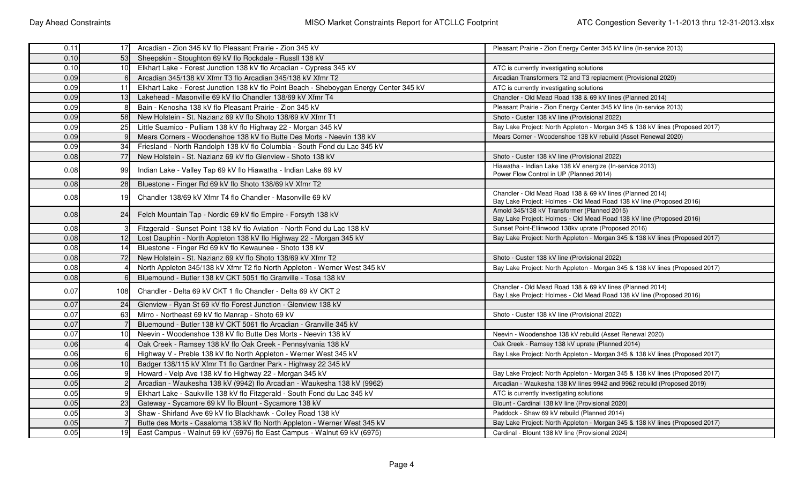| 0.11 | 17 <sup>1</sup> | Arcadian - Zion 345 kV flo Pleasant Prairie - Zion 345 kV                                                                                           | Pleasant Prairie - Zion Energy Center 345 kV line (In-service 2013)                                                               |  |  |
|------|-----------------|-----------------------------------------------------------------------------------------------------------------------------------------------------|-----------------------------------------------------------------------------------------------------------------------------------|--|--|
| 0.10 | 53              | Sheepskin - Stoughton 69 kV flo Rockdale - Russll 138 kV                                                                                            |                                                                                                                                   |  |  |
| 0.10 | 10              | Elkhart Lake - Forest Junction 138 kV flo Arcadian - Cypress 345 kV                                                                                 | ATC is currently investigating solutions                                                                                          |  |  |
| 0.09 |                 | Arcadian 345/138 kV Xfmr T3 flo Arcadian 345/138 kV Xfmr T2                                                                                         | Arcadian Transformers T2 and T3 replacment (Provisional 2020)                                                                     |  |  |
| 0.09 | 11              | Elkhart Lake - Forest Junction 138 kV flo Point Beach - Sheboygan Energy Center 345 kV                                                              | ATC is currently investigating solutions                                                                                          |  |  |
| 0.09 | 13              | Lakehead - Masonville 69 kV flo Chandler 138/69 kV Xfmr T4                                                                                          | Chandler - Old Mead Road 138 & 69 kV lines (Planned 2014)                                                                         |  |  |
| 0.09 |                 | Bain - Kenosha 138 kV flo Pleasant Prairie - Zion 345 kV                                                                                            | Pleasant Prairie - Zion Energy Center 345 kV line (In-service 2013)                                                               |  |  |
| 0.09 | 58              | New Holstein - St. Nazianz 69 kV flo Shoto 138/69 kV Xfmr T1                                                                                        | Shoto - Custer 138 kV line (Provisional 2022)                                                                                     |  |  |
| 0.09 | 25              | Little Suamico - Pulliam 138 kV flo Highway 22 - Morgan 345 kV                                                                                      | Bay Lake Project: North Appleton - Morgan 345 & 138 kV lines (Proposed 2017)                                                      |  |  |
| 0.09 |                 | Mears Corners - Woodenshoe 138 kV flo Butte Des Morts - Neevin 138 kV                                                                               | Mears Corner - Woodenshoe 138 kV rebuild (Asset Renewal 2020)                                                                     |  |  |
| 0.09 | 34              | Friesland - North Randolph 138 kV flo Columbia - South Fond du Lac 345 kV                                                                           |                                                                                                                                   |  |  |
| 0.08 | 77              | New Holstein - St. Nazianz 69 kV flo Glenview - Shoto 138 kV                                                                                        | Shoto - Custer 138 kV line (Provisional 2022)                                                                                     |  |  |
| 0.08 | 991             | Indian Lake - Valley Tap 69 kV flo Hiawatha - Indian Lake 69 kV                                                                                     | Hiawatha - Indian Lake 138 kV energize (In-service 2013)<br>Power Flow Control in UP (Planned 2014)                               |  |  |
| 0.08 | 28              | Bluestone - Finger Rd 69 kV flo Shoto 138/69 kV Xfmr T2                                                                                             |                                                                                                                                   |  |  |
| 0.08 | 19              | Chandler 138/69 kV Xfmr T4 flo Chandler - Masonville 69 kV                                                                                          | Chandler - Old Mead Road 138 & 69 kV lines (Planned 2014)<br>Bay Lake Project: Holmes - Old Mead Road 138 kV line (Proposed 2016) |  |  |
| 0.08 | 24              | Felch Mountain Tap - Nordic 69 kV flo Empire - Forsyth 138 kV                                                                                       | Arnold 345/138 kV Transformer (Planned 2015)<br>Bay Lake Project: Holmes - Old Mead Road 138 kV line (Proposed 2016)              |  |  |
| 0.08 |                 | Fitzgerald - Sunset Point 138 kV flo Aviation - North Fond du Lac 138 kV                                                                            | Sunset Point-Ellinwood 138kv uprate (Proposed 2016)                                                                               |  |  |
| 0.08 | 12              | Bay Lake Project: North Appleton - Morgan 345 & 138 kV lines (Proposed 2017)<br>Lost Dauphin - North Appleton 138 kV flo Highway 22 - Morgan 345 kV |                                                                                                                                   |  |  |
| 0.08 | 14              | Bluestone - Finger Rd 69 kV flo Kewaunee - Shoto 138 kV                                                                                             |                                                                                                                                   |  |  |
| 0.08 | 72              | New Holstein - St. Nazianz 69 kV flo Shoto 138/69 kV Xfmr T2                                                                                        | Shoto - Custer 138 kV line (Provisional 2022)                                                                                     |  |  |
| 0.08 |                 | North Appleton 345/138 kV Xfmr T2 flo North Appleton - Werner West 345 kV                                                                           | Bay Lake Project: North Appleton - Morgan 345 & 138 kV lines (Proposed 2017)                                                      |  |  |
| 0.08 |                 | Bluemound - Butler 138 kV CKT 5051 flo Granville - Tosa 138 kV                                                                                      |                                                                                                                                   |  |  |
| 0.07 | 108I            | Chandler - Delta 69 kV CKT 1 flo Chandler - Delta 69 kV CKT 2                                                                                       | Chandler - Old Mead Road 138 & 69 kV lines (Planned 2014)<br>Bay Lake Project: Holmes - Old Mead Road 138 kV line (Proposed 2016) |  |  |
| 0.07 | 24              | Glenview - Ryan St 69 kV flo Forest Junction - Glenview 138 kV                                                                                      |                                                                                                                                   |  |  |
| 0.07 | 63              | Mirro - Northeast 69 kV flo Manrap - Shoto 69 kV                                                                                                    | Shoto - Custer 138 kV line (Provisional 2022)                                                                                     |  |  |
| 0.07 |                 | Bluemound - Butler 138 kV CKT 5061 flo Arcadian - Granville 345 kV                                                                                  |                                                                                                                                   |  |  |
| 0.07 | 10              | Neevin - Woodenshoe 138 kV flo Butte Des Morts - Neevin 138 kV                                                                                      | Neevin - Woodenshoe 138 kV rebuild (Asset Renewal 2020)                                                                           |  |  |
| 0.06 |                 | Oak Creek - Ramsey 138 kV flo Oak Creek - Pennsylvania 138 kV                                                                                       | Oak Creek - Ramsey 138 kV uprate (Planned 2014)                                                                                   |  |  |
| 0.06 |                 | Highway V - Preble 138 kV flo North Appleton - Werner West 345 kV                                                                                   | Bay Lake Project: North Appleton - Morgan 345 & 138 kV lines (Proposed 2017)                                                      |  |  |
| 0.06 | 10              | Badger 138/115 kV Xfmr T1 flo Gardner Park - Highway 22 345 kV                                                                                      |                                                                                                                                   |  |  |
| 0.06 |                 | Howard - Velp Ave 138 kV flo Highway 22 - Morgan 345 kV<br>Bay Lake Project: North Appleton - Morgan 345 & 138 kV lines (Proposed 2017)             |                                                                                                                                   |  |  |
| 0.05 |                 | Arcadian - Waukesha 138 kV (9942) flo Arcadian - Waukesha 138 kV (9962)<br>Arcadian - Waukesha 138 kV lines 9942 and 9962 rebuild (Proposed 2019)   |                                                                                                                                   |  |  |
| 0.05 |                 | Elkhart Lake - Saukville 138 kV flo Fitzgerald - South Fond du Lac 345 kV                                                                           | ATC is currently investigating solutions                                                                                          |  |  |
| 0.05 | 23              | Gateway - Sycamore 69 kV flo Blount - Sycamore 138 kV                                                                                               | Blount - Cardinal 138 kV line (Provisional 2020)                                                                                  |  |  |
| 0.05 |                 | Shaw - Shirland Ave 69 kV flo Blackhawk - Colley Road 138 kV                                                                                        | Paddock - Shaw 69 kV rebuild (Planned 2014)                                                                                       |  |  |
| 0.05 |                 | Butte des Morts - Casaloma 138 kV flo North Appleton - Werner West 345 kV                                                                           | Bay Lake Project: North Appleton - Morgan 345 & 138 kV lines (Proposed 2017)                                                      |  |  |
| 0.05 |                 | East Campus - Walnut 69 kV (6976) flo East Campus - Walnut 69 kV (6975)<br>19<br>Cardinal - Blount 138 kV line (Provisional 2024)                   |                                                                                                                                   |  |  |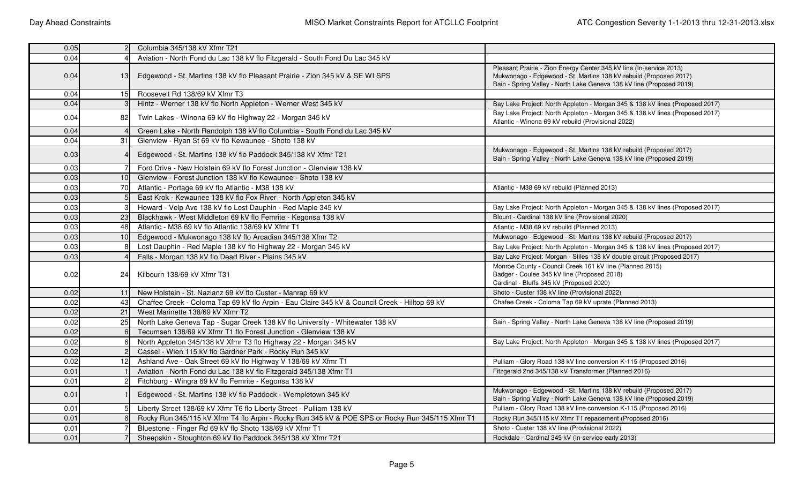| 0.05 |                 | Columbia 345/138 kV Xfmr T21                                                                                                  |                                                                                                                                                                                                                  |  |  |
|------|-----------------|-------------------------------------------------------------------------------------------------------------------------------|------------------------------------------------------------------------------------------------------------------------------------------------------------------------------------------------------------------|--|--|
| 0.04 |                 | Aviation - North Fond du Lac 138 kV flo Fitzgerald - South Fond Du Lac 345 kV                                                 |                                                                                                                                                                                                                  |  |  |
| 0.04 | 13              | Edgewood - St. Martins 138 kV flo Pleasant Prairie - Zion 345 kV & SE WI SPS                                                  | Pleasant Prairie - Zion Energy Center 345 kV line (In-service 2013)<br>Mukwonago - Edgewood - St. Martins 138 kV rebuild (Proposed 2017)<br>Bain - Spring Valley - North Lake Geneva 138 kV line (Proposed 2019) |  |  |
| 0.04 | 15 <sup>1</sup> | Roosevelt Rd 138/69 kV Xfmr T3                                                                                                |                                                                                                                                                                                                                  |  |  |
| 0.04 |                 | Hintz - Werner 138 kV flo North Appleton - Werner West 345 kV                                                                 | Bay Lake Project: North Appleton - Morgan 345 & 138 kV lines (Proposed 2017)                                                                                                                                     |  |  |
| 0.04 | 82              | Twin Lakes - Winona 69 kV flo Highway 22 - Morgan 345 kV                                                                      | Bay Lake Project: North Appleton - Morgan 345 & 138 kV lines (Proposed 2017)<br>Atlantic - Winona 69 kV rebuild (Provisional 2022)                                                                               |  |  |
| 0.04 |                 | Green Lake - North Randolph 138 kV flo Columbia - South Fond du Lac 345 kV                                                    |                                                                                                                                                                                                                  |  |  |
| 0.04 | 31              | Glenview - Ryan St 69 kV flo Kewaunee - Shoto 138 kV                                                                          |                                                                                                                                                                                                                  |  |  |
| 0.03 |                 | Edgewood - St. Martins 138 kV flo Paddock 345/138 kV Xfmr T21                                                                 | Mukwonago - Edgewood - St. Martins 138 kV rebuild (Proposed 2017)<br>Bain - Spring Valley - North Lake Geneva 138 kV line (Proposed 2019)                                                                        |  |  |
| 0.03 |                 | Ford Drive - New Holstein 69 kV flo Forest Junction - Glenview 138 kV                                                         |                                                                                                                                                                                                                  |  |  |
| 0.03 | 10              | Glenview - Forest Junction 138 kV flo Kewaunee - Shoto 138 kV                                                                 |                                                                                                                                                                                                                  |  |  |
| 0.03 | $70$            | Atlantic - Portage 69 kV flo Atlantic - M38 138 kV                                                                            | Atlantic - M38 69 kV rebuild (Planned 2013)                                                                                                                                                                      |  |  |
| 0.03 |                 | East Krok - Kewaunee 138 kV flo Fox River - North Appleton 345 kV                                                             |                                                                                                                                                                                                                  |  |  |
| 0.03 |                 | Howard - Velp Ave 138 kV flo Lost Dauphin - Red Maple 345 kV                                                                  | Bay Lake Project: North Appleton - Morgan 345 & 138 kV lines (Proposed 2017)                                                                                                                                     |  |  |
| 0.03 | 23              | Blackhawk - West Middleton 69 kV flo Femrite - Kegonsa 138 kV                                                                 | Blount - Cardinal 138 kV line (Provisional 2020)                                                                                                                                                                 |  |  |
| 0.03 | 48              | Atlantic - M38 69 kV flo Atlantic 138/69 kV Xfmr T1                                                                           | Atlantic - M38 69 kV rebuild (Planned 2013)                                                                                                                                                                      |  |  |
| 0.03 | 10              | Edgewood - Mukwonago 138 kV flo Arcadian 345/138 Xfmr T2<br>Mukwonago - Edgewood - St. Martins 138 kV rebuild (Proposed 2017) |                                                                                                                                                                                                                  |  |  |
| 0.03 |                 | Lost Dauphin - Red Maple 138 kV flo Highway 22 - Morgan 345 kV                                                                | Bay Lake Project: North Appleton - Morgan 345 & 138 kV lines (Proposed 2017)                                                                                                                                     |  |  |
| 0.03 |                 | Falls - Morgan 138 kV flo Dead River - Plains 345 kV                                                                          | Bay Lake Project: Morgan - Stiles 138 kV double circuit (Proposed 2017)                                                                                                                                          |  |  |
| 0.02 | 24              | Kilbourn 138/69 kV Xfmr T31                                                                                                   | Monroe County - Council Creek 161 kV line (Planned 2015)<br>Badger - Coulee 345 kV line (Proposed 2018)<br>Cardinal - Bluffs 345 kV (Proposed 2020)                                                              |  |  |
| 0.02 | 11              | New Holstein - St. Nazianz 69 kV flo Custer - Manrap 69 kV                                                                    | Shoto - Custer 138 kV line (Provisional 2022)                                                                                                                                                                    |  |  |
| 0.02 | 43              | Chaffee Creek - Coloma Tap 69 kV flo Arpin - Eau Claire 345 kV & Council Creek - Hilltop 69 kV                                | Chafee Creek - Coloma Tap 69 kV uprate (Planned 2013)                                                                                                                                                            |  |  |
| 0.02 | 21              | West Marinette 138/69 kV Xfmr T2                                                                                              |                                                                                                                                                                                                                  |  |  |
| 0.02 | 25              | North Lake Geneva Tap - Sugar Creek 138 kV flo University - Whitewater 138 kV                                                 | Bain - Spring Valley - North Lake Geneva 138 kV line (Proposed 2019)                                                                                                                                             |  |  |
| 0.02 |                 | Tecumseh 138/69 kV Xfmr T1 flo Forest Junction - Glenview 138 kV                                                              |                                                                                                                                                                                                                  |  |  |
| 0.02 |                 | North Appleton 345/138 kV Xfmr T3 flo Highway 22 - Morgan 345 kV                                                              | Bay Lake Project: North Appleton - Morgan 345 & 138 kV lines (Proposed 2017)                                                                                                                                     |  |  |
| 0.02 |                 | Cassel - Wien 115 kV flo Gardner Park - Rocky Run 345 kV                                                                      |                                                                                                                                                                                                                  |  |  |
| 0.02 | 12              | Ashland Ave - Oak Street 69 kV flo Highway V 138/69 kV Xfmr T1                                                                | Pulliam - Glory Road 138 kV line conversion K-115 (Proposed 2016)                                                                                                                                                |  |  |
| 0.01 |                 | Aviation - North Fond du Lac 138 kV flo Fitzgerald 345/138 Xfmr T1<br>Fitzgerald 2nd 345/138 kV Transformer (Planned 2016)    |                                                                                                                                                                                                                  |  |  |
| 0.01 |                 | Fitchburg - Wingra 69 kV flo Femrite - Kegonsa 138 kV                                                                         |                                                                                                                                                                                                                  |  |  |
| 0.01 |                 | Edgewood - St. Martins 138 kV flo Paddock - Wempletown 345 kV                                                                 | Mukwonago - Edgewood - St. Martins 138 kV rebuild (Proposed 2017)<br>Bain - Spring Valley - North Lake Geneva 138 kV line (Proposed 2019)                                                                        |  |  |
| 0.01 |                 | Liberty Street 138/69 kV Xfmr T6 flo Liberty Street - Pulliam 138 kV                                                          | Pulliam - Glory Road 138 kV line conversion K-115 (Proposed 2016)                                                                                                                                                |  |  |
| 0.01 |                 | Rocky Run 345/115 kV Xfmr T4 flo Arpin - Rocky Run 345 kV & POE SPS or Rocky Run 345/115 Xfmr T1                              | Rocky Run 345/115 kV Xfmr T1 repacement (Proposed 2016)                                                                                                                                                          |  |  |
| 0.01 |                 | Bluestone - Finger Rd 69 kV flo Shoto 138/69 kV Xfmr T1                                                                       | Shoto - Custer 138 kV line (Provisional 2022)                                                                                                                                                                    |  |  |
| 0.01 |                 | Sheepskin - Stoughton 69 kV flo Paddock 345/138 kV Xfmr T21                                                                   | Rockdale - Cardinal 345 kV (In-service early 2013)                                                                                                                                                               |  |  |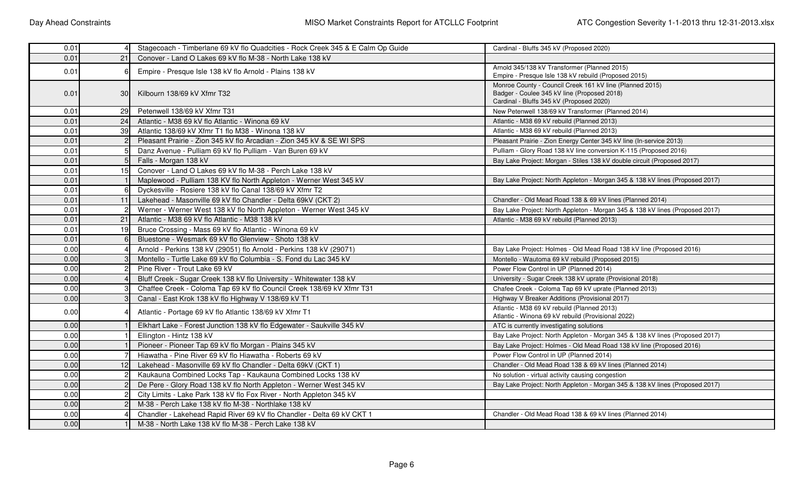| 0.01 |           | Stagecoach - Timberlane 69 kV flo Quadcities - Rock Creek 345 & E Calm Op Guide | Cardinal - Bluffs 345 kV (Proposed 2020)                                                                |
|------|-----------|---------------------------------------------------------------------------------|---------------------------------------------------------------------------------------------------------|
| 0.01 | 21        | Conover - Land O Lakes 69 kV flo M-38 - North Lake 138 kV                       |                                                                                                         |
| 0.01 |           | Empire - Presque Isle 138 kV flo Arnold - Plains 138 kV                         | Arnold 345/138 kV Transformer (Planned 2015)                                                            |
|      |           |                                                                                 | Empire - Presque Isle 138 kV rebuild (Proposed 2015)                                                    |
| 0.01 |           | Kilbourn 138/69 kV Xfmr T32                                                     | Monroe County - Council Creek 161 kV line (Planned 2015)<br>Badger - Coulee 345 kV line (Proposed 2018) |
|      | <b>30</b> |                                                                                 | Cardinal - Bluffs 345 kV (Proposed 2020)                                                                |
| 0.01 | 29        | Petenwell 138/69 kV Xfmr T31                                                    | New Petenwell 138/69 kV Transformer (Planned 2014)                                                      |
| 0.01 | 24        | Atlantic - M38 69 kV flo Atlantic - Winona 69 kV                                | Atlantic - M38 69 kV rebuild (Planned 2013)                                                             |
| 0.01 | 39        | Atlantic 138/69 kV Xfmr T1 flo M38 - Winona 138 kV                              | Atlantic - M38 69 kV rebuild (Planned 2013)                                                             |
| 0.01 |           | Pleasant Prairie - Zion 345 kV flo Arcadian - Zion 345 kV & SE WI SPS           | Pleasant Prairie - Zion Energy Center 345 kV line (In-service 2013)                                     |
| 0.01 |           | Danz Avenue - Pulliam 69 kV flo Pulliam - Van Buren 69 kV                       | Pulliam - Glory Road 138 kV line conversion K-115 (Proposed 2016)                                       |
| 0.01 |           | Falls - Morgan 138 kV                                                           | Bay Lake Project: Morgan - Stiles 138 kV double circuit (Proposed 2017)                                 |
| 0.01 | 15        | Conover - Land O Lakes 69 kV flo M-38 - Perch Lake 138 kV                       |                                                                                                         |
| 0.01 |           | Maplewood - Pulliam 138 KV flo North Appleton - Werner West 345 kV              | Bay Lake Project: North Appleton - Morgan 345 & 138 kV lines (Proposed 2017)                            |
| 0.01 |           | Dyckesville - Rosiere 138 kV flo Canal 138/69 kV Xfmr T2                        |                                                                                                         |
| 0.01 | 11        | Lakehead - Masonville 69 kV flo Chandler - Delta 69kV (CKT 2)                   | Chandler - Old Mead Road 138 & 69 kV lines (Planned 2014)                                               |
| 0.01 |           | Werner - Werner West 138 kV flo North Appleton - Werner West 345 kV             | Bay Lake Project: North Appleton - Morgan 345 & 138 kV lines (Proposed 2017)                            |
| 0.01 | 21        | Atlantic - M38 69 kV flo Atlantic - M38 138 kV                                  | Atlantic - M38 69 kV rebuild (Planned 2013)                                                             |
| 0.01 | 19        | Bruce Crossing - Mass 69 kV flo Atlantic - Winona 69 kV                         |                                                                                                         |
| 0.01 |           | Bluestone - Wesmark 69 kV flo Glenview - Shoto 138 kV                           |                                                                                                         |
| 0.00 |           | Arnold - Perkins 138 kV (29051) flo Arnold - Perkins 138 kV (29071)             | Bay Lake Project: Holmes - Old Mead Road 138 kV line (Proposed 2016)                                    |
| 0.00 |           | Montello - Turtle Lake 69 kV flo Columbia - S. Fond du Lac 345 kV               | Montello - Wautoma 69 kV rebuild (Proposed 2015)                                                        |
| 0.00 |           | Pine River - Trout Lake 69 kV                                                   | Power Flow Control in UP (Planned 2014)                                                                 |
| 0.00 |           | Bluff Creek - Sugar Creek 138 kV flo University - Whitewater 138 kV             | University - Sugar Creek 138 kV uprate (Provisional 2018)                                               |
| 0.00 |           | Chaffee Creek - Coloma Tap 69 kV flo Council Creek 138/69 kV Xfmr T31           | Chafee Creek - Coloma Tap 69 kV uprate (Planned 2013)                                                   |
| 0.00 |           | Canal - East Krok 138 kV flo Highway V 138/69 kV T1                             | Highway V Breaker Additions (Provisional 2017)                                                          |
| 0.00 |           | Atlantic - Portage 69 kV flo Atlantic 138/69 kV Xfmr T1                         | Atlantic - M38 69 kV rebuild (Planned 2013)                                                             |
|      |           |                                                                                 | Atlantic - Winona 69 kV rebuild (Provisional 2022)                                                      |
| 0.00 |           | Elkhart Lake - Forest Junction 138 kV flo Edgewater - Saukville 345 kV          | ATC is currently investigating solutions                                                                |
| 0.00 |           | Ellington - Hintz 138 kV                                                        | Bay Lake Project: North Appleton - Morgan 345 & 138 kV lines (Proposed 2017)                            |
| 0.00 |           | Pioneer - Pioneer Tap 69 kV flo Morgan - Plains 345 kV                          | Bay Lake Project: Holmes - Old Mead Road 138 kV line (Proposed 2016)                                    |
| 0.00 |           | Hiawatha - Pine River 69 kV flo Hiawatha - Roberts 69 kV                        | Power Flow Control in UP (Planned 2014)                                                                 |
| 0.00 | 12        | Lakehead - Masonville 69 kV flo Chandler - Delta 69kV (CKT 1)                   | Chandler - Old Mead Road 138 & 69 kV lines (Planned 2014)                                               |
| 0.00 |           | Kaukauna Combined Locks Tap - Kaukauna Combined Locks 138 kV                    | No solution - virtual activity causing congestion                                                       |
| 0.00 |           | De Pere - Glory Road 138 kV flo North Appleton - Werner West 345 kV             | Bay Lake Project: North Appleton - Morgan 345 & 138 kV lines (Proposed 2017)                            |
| 0.00 |           | City Limits - Lake Park 138 kV flo Fox River - North Appleton 345 kV            |                                                                                                         |
| 0.00 |           | M-38 - Perch Lake 138 kV flo M-38 - Northlake 138 kV                            |                                                                                                         |
| 0.00 |           | Chandler - Lakehead Rapid River 69 kV flo Chandler - Delta 69 kV CKT 1          | Chandler - Old Mead Road 138 & 69 kV lines (Planned 2014)                                               |
| 0.00 |           | M-38 - North Lake 138 kV flo M-38 - Perch Lake 138 kV                           |                                                                                                         |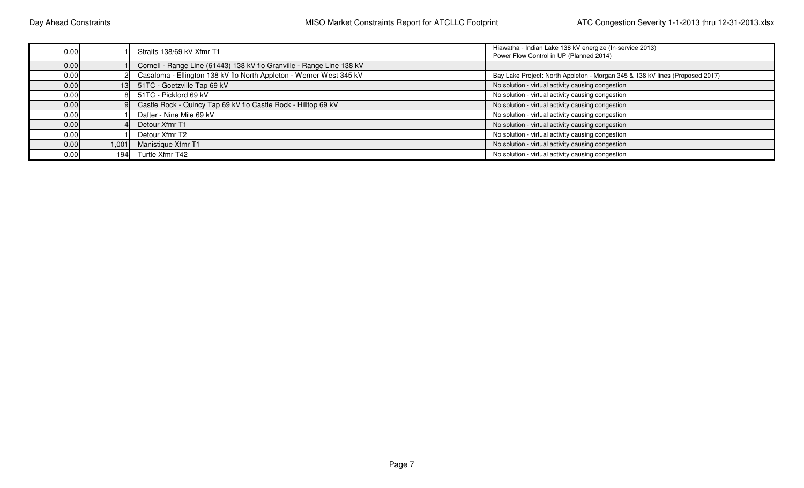| 0.00 |       | Straits 138/69 kV Xfmr T1                                                  | Hiawatha - Indian Lake 138 kV energize (In-service 2013)<br>Power Flow Control in UP (Planned 2014) |
|------|-------|----------------------------------------------------------------------------|-----------------------------------------------------------------------------------------------------|
| 0.00 |       | Cornell - Range Line (61443) 138 kV flo Granville - Range Line 138 kV      |                                                                                                     |
| 0.00 |       | Casaloma - Ellington 138 kV flo North Appleton - Werner West 345 kV        | Bay Lake Project: North Appleton - Morgan 345 & 138 kV lines (Proposed 2017)                        |
| 0.00 |       | 51TC - Goetzville Tap 69 kV                                                | No solution - virtual activity causing congestion                                                   |
| 0.00 |       | 51TC - Pickford 69 kV<br>No solution - virtual activity causing congestion |                                                                                                     |
| 0.00 |       | Castle Rock - Quincy Tap 69 kV flo Castle Rock - Hilltop 69 kV             | No solution - virtual activity causing congestion                                                   |
| 0.00 |       | Dafter - Nine Mile 69 kV                                                   | No solution - virtual activity causing congestion                                                   |
| 0.00 |       | No solution - virtual activity causing congestion<br>Detour Xfmr T1        |                                                                                                     |
| 0.00 |       | Detour Xfmr T2                                                             | No solution - virtual activity causing congestion                                                   |
| 0.00 | 1,001 | Manistique Xfmr T1                                                         | No solution - virtual activity causing congestion                                                   |
| 0.00 | 1941  | Turtle Xfmr T42                                                            | No solution - virtual activity causing congestion                                                   |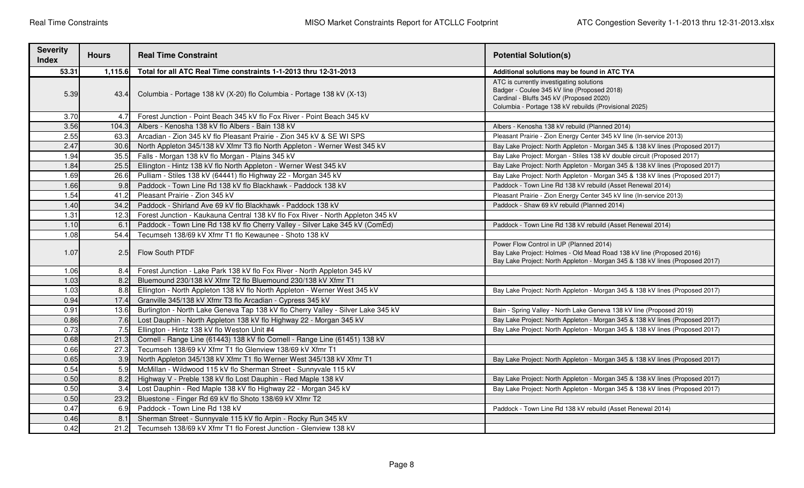| <b>Severity</b><br><b>Index</b> | <b>Hours</b> | <b>Real Time Constraint</b>                                                                                                                | <b>Potential Solution(s)</b>                                                                                                                                                                    |  |  |
|---------------------------------|--------------|--------------------------------------------------------------------------------------------------------------------------------------------|-------------------------------------------------------------------------------------------------------------------------------------------------------------------------------------------------|--|--|
| 53.31                           | 1,115.6      | Total for all ATC Real Time constraints 1-1-2013 thru 12-31-2013                                                                           | Additional solutions may be found in ATC TYA                                                                                                                                                    |  |  |
| 5.39                            |              | 43.4 Columbia - Portage 138 kV (X-20) flo Columbia - Portage 138 kV (X-13)                                                                 | ATC is currently investigating solutions<br>Badger - Coulee 345 kV line (Proposed 2018)<br>Cardinal - Bluffs 345 kV (Proposed 2020)<br>Columbia - Portage 138 kV rebuilds (Provisional 2025)    |  |  |
| 3.70                            | 4.7          | Forest Junction - Point Beach 345 kV flo Fox River - Point Beach 345 kV                                                                    |                                                                                                                                                                                                 |  |  |
| 3.56                            | 104.3        | Albers - Kenosha 138 kV flo Albers - Bain 138 kV                                                                                           | Albers - Kenosha 138 kV rebuild (Planned 2014)                                                                                                                                                  |  |  |
| 2.55                            | 63.3         | Arcadian - Zion 345 kV flo Pleasant Prairie - Zion 345 kV & SE WI SPS                                                                      | Pleasant Prairie - Zion Energy Center 345 kV line (In-service 2013)                                                                                                                             |  |  |
| 2.47                            | 30.6         | North Appleton 345/138 kV Xfmr T3 flo North Appleton - Werner West 345 kV                                                                  | Bay Lake Project: North Appleton - Morgan 345 & 138 kV lines (Proposed 2017)                                                                                                                    |  |  |
| 1.94                            | 35.5         | Falls - Morgan 138 kV flo Morgan - Plains 345 kV                                                                                           | Bay Lake Project: Morgan - Stiles 138 kV double circuit (Proposed 2017)                                                                                                                         |  |  |
| 1.84                            | 25.5         | Ellington - Hintz 138 kV flo North Appleton - Werner West 345 kV                                                                           | Bay Lake Project: North Appleton - Morgan 345 & 138 kV lines (Proposed 2017)                                                                                                                    |  |  |
| 1.69                            | 26.6         | Pulliam - Stiles 138 kV (64441) flo Highway 22 - Morgan 345 kV                                                                             | Bay Lake Project: North Appleton - Morgan 345 & 138 kV lines (Proposed 2017)                                                                                                                    |  |  |
| 1.66                            | 9.8          | Paddock - Town Line Rd 138 kV flo Blackhawk - Paddock 138 kV                                                                               | Paddock - Town Line Rd 138 kV rebuild (Asset Renewal 2014)                                                                                                                                      |  |  |
| 1.54                            | 41.2         | Pleasant Prairie - Zion 345 kV                                                                                                             | Pleasant Prairie - Zion Energy Center 345 kV line (In-service 2013)                                                                                                                             |  |  |
| 1.40                            | 34.2         | Paddock - Shirland Ave 69 kV flo Blackhawk - Paddock 138 kV                                                                                | Paddock - Shaw 69 kV rebuild (Planned 2014)                                                                                                                                                     |  |  |
| 1.31                            | 12.3         | Forest Junction - Kaukauna Central 138 kV flo Fox River - North Appleton 345 kV                                                            |                                                                                                                                                                                                 |  |  |
| 1.10                            | 6.1          | Paddock - Town Line Rd 138 kV flo Cherry Valley - Silver Lake 345 kV (ComEd)<br>Paddock - Town Line Rd 138 kV rebuild (Asset Renewal 2014) |                                                                                                                                                                                                 |  |  |
| 1.08                            | 54.4         | Tecumseh 138/69 kV Xfmr T1 flo Kewaunee - Shoto 138 kV                                                                                     |                                                                                                                                                                                                 |  |  |
| 1.07                            | 2.5          | Flow South PTDF                                                                                                                            | Power Flow Control in UP (Planned 2014)<br>Bay Lake Project: Holmes - Old Mead Road 138 kV line (Proposed 2016)<br>Bay Lake Project: North Appleton - Morgan 345 & 138 kV lines (Proposed 2017) |  |  |
| 1.06                            | 8.4          | Forest Junction - Lake Park 138 kV flo Fox River - North Appleton 345 kV                                                                   |                                                                                                                                                                                                 |  |  |
| 1.03                            | 8.2          | Bluemound 230/138 kV Xfmr T2 flo Bluemound 230/138 kV Xfmr T1                                                                              |                                                                                                                                                                                                 |  |  |
| 1.03                            | 8.8          | Ellington - North Appleton 138 kV flo North Appleton - Werner West 345 kV                                                                  | Bay Lake Project: North Appleton - Morgan 345 & 138 kV lines (Proposed 2017)                                                                                                                    |  |  |
| 0.94                            | 17.4         | Granville 345/138 kV Xfmr T3 flo Arcadian - Cypress 345 kV                                                                                 |                                                                                                                                                                                                 |  |  |
| 0.91                            | 13.6         | Burlington - North Lake Geneva Tap 138 kV flo Cherry Valley - Silver Lake 345 kV                                                           | Bain - Spring Valley - North Lake Geneva 138 kV line (Proposed 2019)                                                                                                                            |  |  |
| 0.86                            | 7.6          | Lost Dauphin - North Appleton 138 kV flo Highway 22 - Morgan 345 kV                                                                        | Bay Lake Project: North Appleton - Morgan 345 & 138 kV lines (Proposed 2017)                                                                                                                    |  |  |
| 0.73                            | 7.5          | Ellington - Hintz 138 kV flo Weston Unit #4                                                                                                | Bay Lake Project: North Appleton - Morgan 345 & 138 kV lines (Proposed 2017)                                                                                                                    |  |  |
| 0.68                            | 21.3         | Cornell - Range Line (61443) 138 kV flo Cornell - Range Line (61451) 138 kV                                                                |                                                                                                                                                                                                 |  |  |
| 0.66                            | 27.3         | Tecumseh 138/69 kV Xfmr T1 flo Glenview 138/69 kV Xfmr T1                                                                                  |                                                                                                                                                                                                 |  |  |
| 0.65                            | 3.9          | North Appleton 345/138 kV Xfmr T1 flo Werner West 345/138 kV Xfmr T1                                                                       | Bay Lake Project: North Appleton - Morgan 345 & 138 kV lines (Proposed 2017)                                                                                                                    |  |  |
| 0.54                            | 5.9          | McMillan - Wildwood 115 kV flo Sherman Street - Sunnyvale 115 kV                                                                           |                                                                                                                                                                                                 |  |  |
| 0.50                            | 8.2          | Highway V - Preble 138 kV flo Lost Dauphin - Red Maple 138 kV                                                                              | Bay Lake Project: North Appleton - Morgan 345 & 138 kV lines (Proposed 2017)                                                                                                                    |  |  |
| 0.50                            | 3.4          | Lost Dauphin - Red Maple 138 kV flo Highway 22 - Morgan 345 kV                                                                             | Bay Lake Project: North Appleton - Morgan 345 & 138 kV lines (Proposed 2017)                                                                                                                    |  |  |
| 0.50                            | 23.2         | Bluestone - Finger Rd 69 kV flo Shoto 138/69 kV Xfmr T2                                                                                    |                                                                                                                                                                                                 |  |  |
| 0.47                            | 6.9          | Paddock - Town Line Rd 138 kV                                                                                                              | Paddock - Town Line Rd 138 kV rebuild (Asset Renewal 2014)                                                                                                                                      |  |  |
| 0.46                            | 8.1          | Sherman Street - Sunnyvale 115 kV flo Arpin - Rocky Run 345 kV                                                                             |                                                                                                                                                                                                 |  |  |
| 0.42                            | 21.2         | Tecumseh 138/69 kV Xfmr T1 flo Forest Junction - Glenview 138 kV                                                                           |                                                                                                                                                                                                 |  |  |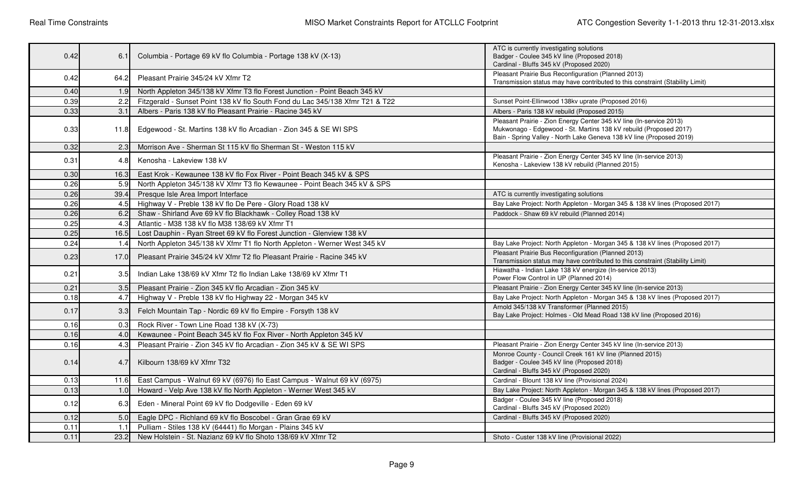| 0.42 | 6.1              | Columbia - Portage 69 kV flo Columbia - Portage 138 kV (X-13)                                                                                             | ATC is currently investigating solutions<br>Badger - Coulee 345 kV line (Proposed 2018)<br>Cardinal - Bluffs 345 kV (Proposed 2020)                                                                              |
|------|------------------|-----------------------------------------------------------------------------------------------------------------------------------------------------------|------------------------------------------------------------------------------------------------------------------------------------------------------------------------------------------------------------------|
| 0.42 | 64.2             | Pleasant Prairie 345/24 kV Xfmr T2                                                                                                                        | Pleasant Prairie Bus Reconfiguration (Planned 2013)<br>Transmission status may have contributed to this constraint (Stability Limit)                                                                             |
| 0.40 | 1.9              | North Appleton 345/138 kV Xfmr T3 flo Forest Junction - Point Beach 345 kV                                                                                |                                                                                                                                                                                                                  |
| 0.39 | 2.2              | Fitzgerald - Sunset Point 138 kV flo South Fond du Lac 345/138 Xfmr T21 & T22                                                                             | Sunset Point-Ellinwood 138kv uprate (Proposed 2016)                                                                                                                                                              |
| 0.33 | 3.1              | Albers - Paris 138 kV flo Pleasant Prairie - Racine 345 kV                                                                                                | Albers - Paris 138 kV rebuild (Proposed 2015)                                                                                                                                                                    |
| 0.33 | 11.8             | Edgewood - St. Martins 138 kV flo Arcadian - Zion 345 & SE WI SPS                                                                                         | Pleasant Prairie - Zion Energy Center 345 kV line (In-service 2013)<br>Mukwonago - Edgewood - St. Martins 138 kV rebuild (Proposed 2017)<br>Bain - Spring Valley - North Lake Geneva 138 kV line (Proposed 2019) |
| 0.32 | 2.3              | Morrison Ave - Sherman St 115 kV flo Sherman St - Weston 115 kV                                                                                           |                                                                                                                                                                                                                  |
| 0.31 | 4.8              | Kenosha - Lakeview 138 kV                                                                                                                                 | Pleasant Prairie - Zion Energy Center 345 kV line (In-service 2013)<br>Kenosha - Lakeview 138 kV rebuild (Planned 2015)                                                                                          |
| 0.30 | 16.3             | East Krok - Kewaunee 138 kV flo Fox River - Point Beach 345 kV & SPS                                                                                      |                                                                                                                                                                                                                  |
| 0.26 | 5.9              | North Appleton 345/138 kV Xfmr T3 flo Kewaunee - Point Beach 345 kV & SPS                                                                                 |                                                                                                                                                                                                                  |
| 0.26 | 39.4             | Presque Isle Area Import Interface                                                                                                                        | ATC is currently investigating solutions                                                                                                                                                                         |
| 0.26 | 4.5              | Highway V - Preble 138 kV flo De Pere - Glory Road 138 kV                                                                                                 | Bay Lake Project: North Appleton - Morgan 345 & 138 kV lines (Proposed 2017)                                                                                                                                     |
| 0.26 | 6.2              | Shaw - Shirland Ave 69 kV flo Blackhawk - Colley Road 138 kV                                                                                              | Paddock - Shaw 69 kV rebuild (Planned 2014)                                                                                                                                                                      |
| 0.25 | 4.3              | Atlantic - M38 138 kV flo M38 138/69 kV Xfmr T1                                                                                                           |                                                                                                                                                                                                                  |
| 0.25 | 16.5             | Lost Dauphin - Ryan Street 69 kV flo Forest Junction - Glenview 138 kV                                                                                    |                                                                                                                                                                                                                  |
| 0.24 | 1.4              | North Appleton 345/138 kV Xfmr T1 flo North Appleton - Werner West 345 kV<br>Bay Lake Project: North Appleton - Morgan 345 & 138 kV lines (Proposed 2017) |                                                                                                                                                                                                                  |
| 0.23 | 17.0             | Pleasant Prairie 345/24 kV Xfmr T2 flo Pleasant Prairie - Racine 345 kV                                                                                   | Pleasant Prairie Bus Reconfiguration (Planned 2013)<br>Transmission status may have contributed to this constraint (Stability Limit)                                                                             |
| 0.21 | 3.5 <sub>l</sub> | Indian Lake 138/69 kV Xfmr T2 flo Indian Lake 138/69 kV Xfmr T1                                                                                           | Hiawatha - Indian Lake 138 kV energize (In-service 2013)<br>Power Flow Control in UP (Planned 2014)                                                                                                              |
| 0.21 | 3.5              | Pleasant Prairie - Zion 345 kV flo Arcadian - Zion 345 kV                                                                                                 | Pleasant Prairie - Zion Energy Center 345 kV line (In-service 2013)                                                                                                                                              |
| 0.18 | 4.7              | Highway V - Preble 138 kV flo Highway 22 - Morgan 345 kV                                                                                                  | Bay Lake Project: North Appleton - Morgan 345 & 138 kV lines (Proposed 2017)                                                                                                                                     |
| 0.17 | 3.3 <sub>l</sub> | Felch Mountain Tap - Nordic 69 kV flo Empire - Forsyth 138 kV                                                                                             | Arnold 345/138 kV Transformer (Planned 2015)<br>Bay Lake Project: Holmes - Old Mead Road 138 kV line (Proposed 2016)                                                                                             |
| 0.16 | 0.3              | Rock River - Town Line Road 138 kV (X-73)                                                                                                                 |                                                                                                                                                                                                                  |
| 0.16 | 4.0              | Kewaunee - Point Beach 345 kV flo Fox River - North Appleton 345 kV                                                                                       |                                                                                                                                                                                                                  |
| 0.16 | 4.3              | Pleasant Prairie - Zion 345 kV flo Arcadian - Zion 345 kV & SE WI SPS                                                                                     | Pleasant Prairie - Zion Energy Center 345 kV line (In-service 2013)                                                                                                                                              |
| 0.14 | 4.7              | Kilbourn 138/69 kV Xfmr T32                                                                                                                               | Monroe County - Council Creek 161 kV line (Planned 2015)<br>Badger - Coulee 345 kV line (Proposed 2018)<br>Cardinal - Bluffs 345 kV (Proposed 2020)                                                              |
| 0.13 | 11.6             | East Campus - Walnut 69 kV (6976) flo East Campus - Walnut 69 kV (6975)                                                                                   | Cardinal - Blount 138 kV line (Provisional 2024)                                                                                                                                                                 |
| 0.13 | 1.0              | Howard - Velp Ave 138 kV flo North Appleton - Werner West 345 kV                                                                                          | Bay Lake Project: North Appleton - Morgan 345 & 138 kV lines (Proposed 2017)                                                                                                                                     |
| 0.12 | 6.3              | Eden - Mineral Point 69 kV flo Dodgeville - Eden 69 kV                                                                                                    | Badger - Coulee 345 kV line (Proposed 2018)<br>Cardinal - Bluffs 345 kV (Proposed 2020)                                                                                                                          |
| 0.12 | 5.0              | Eagle DPC - Richland 69 kV flo Boscobel - Gran Grae 69 kV                                                                                                 | Cardinal - Bluffs 345 kV (Proposed 2020)                                                                                                                                                                         |
| 0.11 | 1.1              | Pulliam - Stiles 138 kV (64441) flo Morgan - Plains 345 kV                                                                                                |                                                                                                                                                                                                                  |
| 0.11 | 23.2             | New Holstein - St. Nazianz 69 kV flo Shoto 138/69 kV Xfmr T2<br>Shoto - Custer 138 kV line (Provisional 2022)                                             |                                                                                                                                                                                                                  |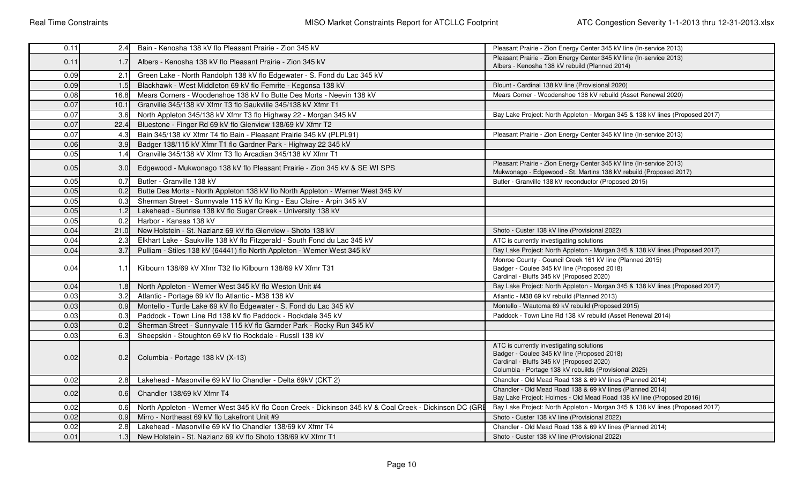| 0.11 | 2.4              | Bain - Kenosha 138 kV flo Pleasant Prairie - Zion 345 kV                                                                                                                                                                         | Pleasant Prairie - Zion Energy Center 345 kV line (In-service 2013)                                                                      |  |  |
|------|------------------|----------------------------------------------------------------------------------------------------------------------------------------------------------------------------------------------------------------------------------|------------------------------------------------------------------------------------------------------------------------------------------|--|--|
| 0.11 | 1.7              | Albers - Kenosha 138 kV flo Pleasant Prairie - Zion 345 kV                                                                                                                                                                       | Pleasant Prairie - Zion Energy Center 345 kV line (In-service 2013)<br>Albers - Kenosha 138 kV rebuild (Planned 2014)                    |  |  |
| 0.09 | 2.1              | Green Lake - North Randolph 138 kV flo Edgewater - S. Fond du Lac 345 kV                                                                                                                                                         |                                                                                                                                          |  |  |
| 0.09 | 1.5              | Blackhawk - West Middleton 69 kV flo Femrite - Kegonsa 138 kV                                                                                                                                                                    | Blount - Cardinal 138 kV line (Provisional 2020)                                                                                         |  |  |
| 0.08 | 16.8             | Mears Corners - Woodenshoe 138 kV flo Butte Des Morts - Neevin 138 kV                                                                                                                                                            | Mears Corner - Woodenshoe 138 kV rebuild (Asset Renewal 2020)                                                                            |  |  |
| 0.07 | 10.1             | Granville 345/138 kV Xfmr T3 flo Saukville 345/138 kV Xfmr T1                                                                                                                                                                    |                                                                                                                                          |  |  |
| 0.07 | 3.6              | North Appleton 345/138 kV Xfmr T3 flo Highway 22 - Morgan 345 kV                                                                                                                                                                 | Bay Lake Project: North Appleton - Morgan 345 & 138 kV lines (Proposed 2017)                                                             |  |  |
| 0.07 | 22.4             | Bluestone - Finger Rd 69 kV flo Glenview 138/69 kV Xfmr T2                                                                                                                                                                       |                                                                                                                                          |  |  |
| 0.07 | 4.3              | Bain 345/138 kV Xfmr T4 flo Bain - Pleasant Prairie 345 kV (PLPL91)                                                                                                                                                              | Pleasant Prairie - Zion Energy Center 345 kV line (In-service 2013)                                                                      |  |  |
| 0.06 | 3.9              | Badger 138/115 kV Xfmr T1 flo Gardner Park - Highway 22 345 kV                                                                                                                                                                   |                                                                                                                                          |  |  |
| 0.05 | 1.4              | Granville 345/138 kV Xfmr T3 flo Arcadian 345/138 kV Xfmr T1                                                                                                                                                                     |                                                                                                                                          |  |  |
| 0.05 | 3.0              | Edgewood - Mukwonago 138 kV flo Pleasant Prairie - Zion 345 kV & SE WI SPS                                                                                                                                                       | Pleasant Prairie - Zion Energy Center 345 kV line (In-service 2013)<br>Mukwonago - Edgewood - St. Martins 138 kV rebuild (Proposed 2017) |  |  |
| 0.05 | 0.7              | Butler - Granville 138 kV                                                                                                                                                                                                        | Butler - Granville 138 kV reconductor (Proposed 2015)                                                                                    |  |  |
| 0.05 | 0.2              | Butte Des Morts - North Appleton 138 kV flo North Appleton - Werner West 345 kV                                                                                                                                                  |                                                                                                                                          |  |  |
| 0.05 | 0.3              | Sherman Street - Sunnyvale 115 kV flo King - Eau Claire - Arpin 345 kV                                                                                                                                                           |                                                                                                                                          |  |  |
| 0.05 | 1.2              | Lakehead - Sunrise 138 kV flo Sugar Creek - University 138 kV                                                                                                                                                                    |                                                                                                                                          |  |  |
| 0.05 | 0.2              | Harbor - Kansas 138 kV                                                                                                                                                                                                           |                                                                                                                                          |  |  |
| 0.04 | 21.0             | New Holstein - St. Nazianz 69 kV flo Glenview - Shoto 138 kV<br>Shoto - Custer 138 kV line (Provisional 2022)                                                                                                                    |                                                                                                                                          |  |  |
| 0.04 | 2.3              | Elkhart Lake - Saukville 138 kV flo Fitzgerald - South Fond du Lac 345 kV<br>ATC is currently investigating solutions                                                                                                            |                                                                                                                                          |  |  |
| 0.04 | 3.7              | Pulliam - Stiles 138 kV (64441) flo North Appleton - Werner West 345 kV                                                                                                                                                          | Bay Lake Project: North Appleton - Morgan 345 & 138 kV lines (Proposed 2017)                                                             |  |  |
| 0.04 | 1.1              | Monroe County - Council Creek 161 kV line (Planned 2015)<br>Badger - Coulee 345 kV line (Proposed 2018)<br>Kilbourn 138/69 kV Xfmr T32 flo Kilbourn 138/69 kV Xfmr T31<br>Cardinal - Bluffs 345 kV (Proposed 2020)               |                                                                                                                                          |  |  |
| 0.04 | 1.8 <sub>l</sub> | North Appleton - Werner West 345 kV flo Weston Unit #4<br>Bay Lake Project: North Appleton - Morgan 345 & 138 kV lines (Proposed 2017)                                                                                           |                                                                                                                                          |  |  |
| 0.03 | 3.2              | Atlantic - Portage 69 kV flo Atlantic - M38 138 kV                                                                                                                                                                               | Atlantic - M38 69 kV rebuild (Planned 2013)                                                                                              |  |  |
| 0.03 | 0.9              | Montello - Turtle Lake 69 kV flo Edgewater - S. Fond du Lac 345 kV                                                                                                                                                               | Montello - Wautoma 69 kV rebuild (Proposed 2015)                                                                                         |  |  |
| 0.03 | 0.3              | Paddock - Town Line Rd 138 kV flo Paddock - Rockdale 345 kV                                                                                                                                                                      | Paddock - Town Line Rd 138 kV rebuild (Asset Renewal 2014)                                                                               |  |  |
| 0.03 | 0.2              | Sherman Street - Sunnyvale 115 kV flo Garnder Park - Rocky Run 345 kV                                                                                                                                                            |                                                                                                                                          |  |  |
| 0.03 | 6.3              | Sheepskin - Stoughton 69 kV flo Rockdale - Russll 138 kV                                                                                                                                                                         |                                                                                                                                          |  |  |
| 0.02 | 0.2 <sub>l</sub> | ATC is currently investigating solutions<br>Badger - Coulee 345 kV line (Proposed 2018)<br>Columbia - Portage 138 kV (X-13)<br>Cardinal - Bluffs 345 kV (Proposed 2020)<br>Columbia - Portage 138 kV rebuilds (Provisional 2025) |                                                                                                                                          |  |  |
| 0.02 | 2.8              | Lakehead - Masonville 69 kV flo Chandler - Delta 69kV (CKT 2)<br>Chandler - Old Mead Road 138 & 69 kV lines (Planned 2014)                                                                                                       |                                                                                                                                          |  |  |
| 0.02 | 0.6              | Chandler 138/69 kV Xfmr T4                                                                                                                                                                                                       | Chandler - Old Mead Road 138 & 69 kV lines (Planned 2014)<br>Bay Lake Project: Holmes - Old Mead Road 138 kV line (Proposed 2016)        |  |  |
| 0.02 | 0.6              | North Appleton - Werner West 345 kV flo Coon Creek - Dickinson 345 kV & Coal Creek - Dickinson DC (GRE                                                                                                                           | Bay Lake Project: North Appleton - Morgan 345 & 138 kV lines (Proposed 2017)                                                             |  |  |
| 0.02 | 0.9              | Mirro - Northeast 69 kV flo Lakefront Unit #9                                                                                                                                                                                    | Shoto - Custer 138 kV line (Provisional 2022)                                                                                            |  |  |
| 0.02 | 2.8              | Lakehead - Masonville 69 kV flo Chandler 138/69 kV Xfmr T4                                                                                                                                                                       | Chandler - Old Mead Road 138 & 69 kV lines (Planned 2014)                                                                                |  |  |
| 0.01 | 1.3 <sup>1</sup> | New Holstein - St. Nazianz 69 kV flo Shoto 138/69 kV Xfmr T1                                                                                                                                                                     | Shoto - Custer 138 kV line (Provisional 2022)                                                                                            |  |  |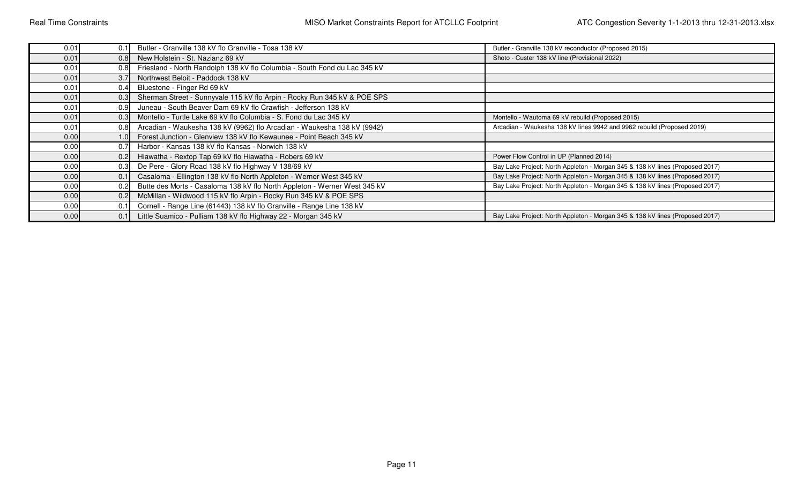| 0.01 | 0.1              | Butler - Granville 138 kV flo Granville - Tosa 138 kV                                              | Butler - Granville 138 kV reconductor (Proposed 2015)                        |
|------|------------------|----------------------------------------------------------------------------------------------------|------------------------------------------------------------------------------|
| 0.01 | 0.8              | New Holstein - St. Nazianz 69 kV                                                                   | Shoto - Custer 138 kV line (Provisional 2022)                                |
| 0.01 | 0.8              | Friesland - North Randolph 138 kV flo Columbia - South Fond du Lac 345 kV                          |                                                                              |
| 0.01 | 3.7              | Northwest Beloit - Paddock 138 kV                                                                  |                                                                              |
| 0.01 | 0.4              | Bluestone - Finger Rd 69 kV                                                                        |                                                                              |
| 0.01 | 0.3              | Sherman Street - Sunnyvale 115 kV flo Arpin - Rocky Run 345 kV & POE SPS                           |                                                                              |
| 0.01 | 0.9              | Juneau - South Beaver Dam 69 kV flo Crawfish - Jefferson 138 kV                                    |                                                                              |
| 0.01 | 0.3              | Montello - Turtle Lake 69 kV flo Columbia - S. Fond du Lac 345 kV                                  | Montello - Wautoma 69 kV rebuild (Proposed 2015)                             |
| 0.01 | 0.8              | Arcadian - Waukesha 138 kV (9962) flo Arcadian - Waukesha 138 kV (9942)                            | Arcadian - Waukesha 138 kV lines 9942 and 9962 rebuild (Proposed 2019)       |
| 0.00 | 1.0 <sub>l</sub> | Forest Junction - Glenview 138 kV flo Kewaunee - Point Beach 345 kV                                |                                                                              |
| 0.00 | 0.7              | Harbor - Kansas 138 kV flo Kansas - Norwich 138 kV                                                 |                                                                              |
| 0.00 | 0.2              | Hiawatha - Rextop Tap 69 kV flo Hiawatha - Robers 69 kV<br>Power Flow Control in UP (Planned 2014) |                                                                              |
| 0.00 | 0.3              | De Pere - Glory Road 138 kV flo Highway V 138/69 kV                                                | Bay Lake Project: North Appleton - Morgan 345 & 138 kV lines (Proposed 2017) |
| 0.00 | 0.1              | Casaloma - Ellington 138 kV flo North Appleton - Werner West 345 kV                                | Bay Lake Project: North Appleton - Morgan 345 & 138 kV lines (Proposed 2017) |
| 0.00 | 0.2              | Butte des Morts - Casaloma 138 kV flo North Appleton - Werner West 345 kV                          | Bay Lake Project: North Appleton - Morgan 345 & 138 kV lines (Proposed 2017) |
| 0.00 | 0.2              | McMillan - Wildwood 115 kV flo Arpin - Rocky Run 345 kV & POE SPS                                  |                                                                              |
| 0.00 | 0.1              | Cornell - Range Line (61443) 138 kV flo Granville - Range Line 138 kV                              |                                                                              |
| 0.00 | 0.1              | Little Suamico - Pulliam 138 kV flo Highway 22 - Morgan 345 kV                                     | Bay Lake Project: North Appleton - Morgan 345 & 138 kV lines (Proposed 2017) |